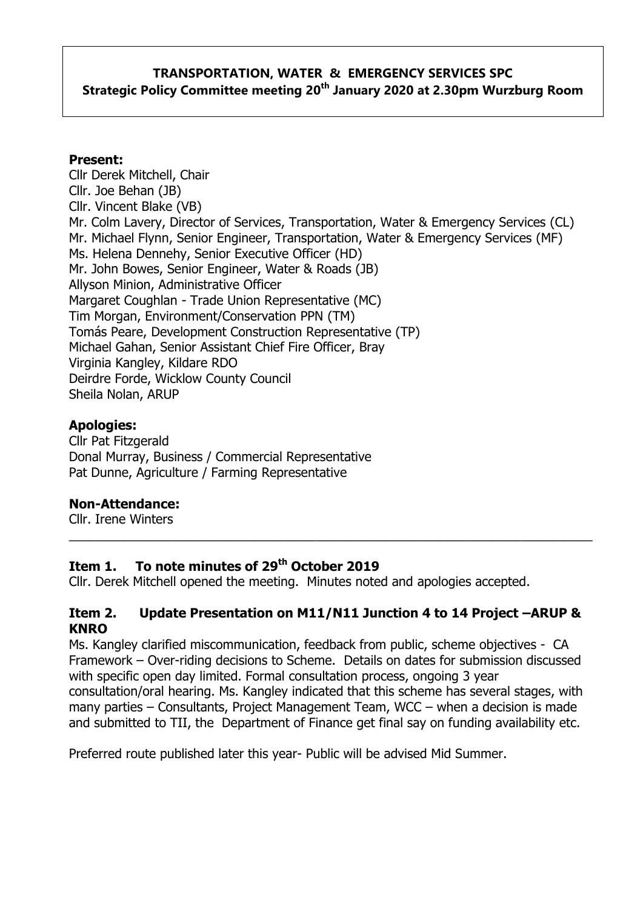# **TRANSPORTATION, WATER & EMERGENCY SERVICES SPC Strategic Policy Committee meeting 20th January 2020 at 2.30pm Wurzburg Room**

#### **Present:**

Cllr Derek Mitchell, Chair Cllr. Joe Behan (JB) Cllr. Vincent Blake (VB) Mr. Colm Lavery, Director of Services, Transportation, Water & Emergency Services (CL) Mr. Michael Flynn, Senior Engineer, Transportation, Water & Emergency Services (MF) Ms. Helena Dennehy, Senior Executive Officer (HD) Mr. John Bowes, Senior Engineer, Water & Roads (JB) Allyson Minion, Administrative Officer Margaret Coughlan - Trade Union Representative (MC) Tim Morgan, Environment/Conservation PPN (TM) Tomás Peare, Development Construction Representative (TP) Michael Gahan, Senior Assistant Chief Fire Officer, Bray Virginia Kangley, Kildare RDO Deirdre Forde, Wicklow County Council Sheila Nolan, ARUP

#### **Apologies:**

Cllr Pat Fitzgerald Donal Murray, Business / Commercial Representative Pat Dunne, Agriculture / Farming Representative

#### **Non-Attendance:**

Cllr. Irene Winters

## **Item 1. To note minutes of 29th October 2019**

Cllr. Derek Mitchell opened the meeting. Minutes noted and apologies accepted.

#### **Item 2. Update Presentation on M11/N11 Junction 4 to 14 Project –ARUP & KNRO**

\_\_\_\_\_\_\_\_\_\_\_\_\_\_\_\_\_\_\_\_\_\_\_\_\_\_\_\_\_\_\_\_\_\_\_\_\_\_\_\_\_\_\_\_\_\_\_\_\_\_\_\_\_\_\_\_\_\_\_\_\_\_\_\_\_\_\_\_\_\_\_\_\_\_

Ms. Kangley clarified miscommunication, feedback from public, scheme objectives - CA Framework – Over-riding decisions to Scheme. Details on dates for submission discussed with specific open day limited. Formal consultation process, ongoing 3 year consultation/oral hearing. Ms. Kangley indicated that this scheme has several stages, with many parties – Consultants, Project Management Team, WCC – when a decision is made and submitted to TII, the Department of Finance get final say on funding availability etc.

Preferred route published later this year- Public will be advised Mid Summer.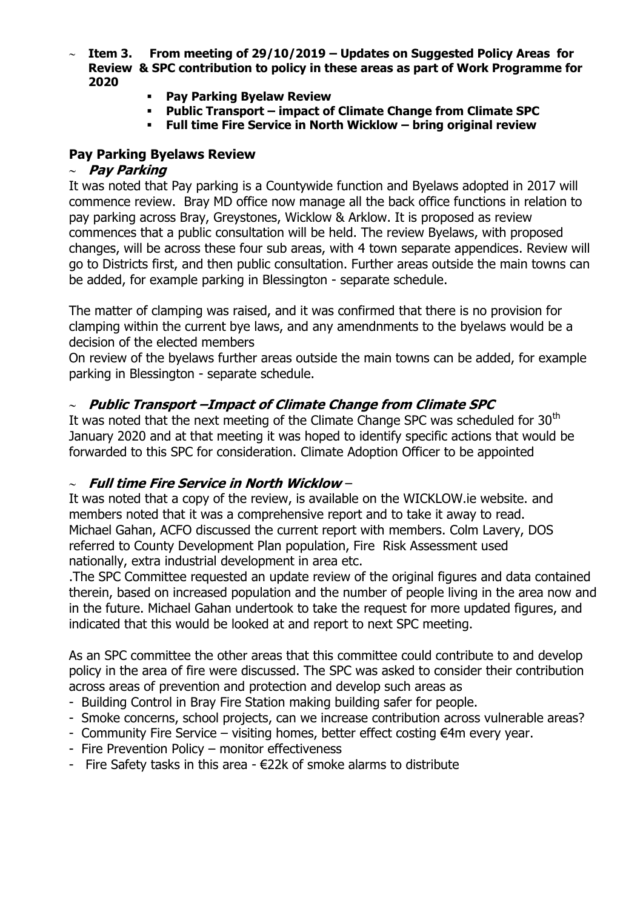- **Item 3. From meeting of 29/10/2019 – Updates on Suggested Policy Areas for Review & SPC contribution to policy in these areas as part of Work Programme for 2020**
	- **Pay Parking Byelaw Review**
	- **Public Transport – impact of Climate Change from Climate SPC**
	- **Full time Fire Service in North Wicklow – bring original review**

### **Pay Parking Byelaws Review**

#### **Pay Parking**

It was noted that Pay parking is a Countywide function and Byelaws adopted in 2017 will commence review. Bray MD office now manage all the back office functions in relation to pay parking across Bray, Greystones, Wicklow & Arklow. It is proposed as review commences that a public consultation will be held. The review Byelaws, with proposed changes, will be across these four sub areas, with 4 town separate appendices. Review will go to Districts first, and then public consultation. Further areas outside the main towns can be added, for example parking in Blessington - separate schedule.

The matter of clamping was raised, and it was confirmed that there is no provision for clamping within the current bye laws, and any amendnments to the byelaws would be a decision of the elected members

On review of the byelaws further areas outside the main towns can be added, for example parking in Blessington - separate schedule.

#### **Public Transport –Impact of Climate Change from Climate SPC**

It was noted that the next meeting of the Climate Change SPC was scheduled for  $30<sup>th</sup>$ January 2020 and at that meeting it was hoped to identify specific actions that would be forwarded to this SPC for consideration. Climate Adoption Officer to be appointed

#### **Full time Fire Service in North Wicklow** –

It was noted that a copy of the review, is available on the WICKLOW.ie website. and members noted that it was a comprehensive report and to take it away to read. Michael Gahan, ACFO discussed the current report with members. Colm Lavery, DOS referred to County Development Plan population, Fire Risk Assessment used nationally, extra industrial development in area etc.

.The SPC Committee requested an update review of the original figures and data contained therein, based on increased population and the number of people living in the area now and in the future. Michael Gahan undertook to take the request for more updated figures, and indicated that this would be looked at and report to next SPC meeting.

As an SPC committee the other areas that this committee could contribute to and develop policy in the area of fire were discussed. The SPC was asked to consider their contribution across areas of prevention and protection and develop such areas as

- Building Control in Bray Fire Station making building safer for people.
- Smoke concerns, school projects, can we increase contribution across vulnerable areas?
- Community Fire Service visiting homes, better effect costing €4m every year.
- Fire Prevention Policy monitor effectiveness
- Fire Safety tasks in this area €22k of smoke alarms to distribute